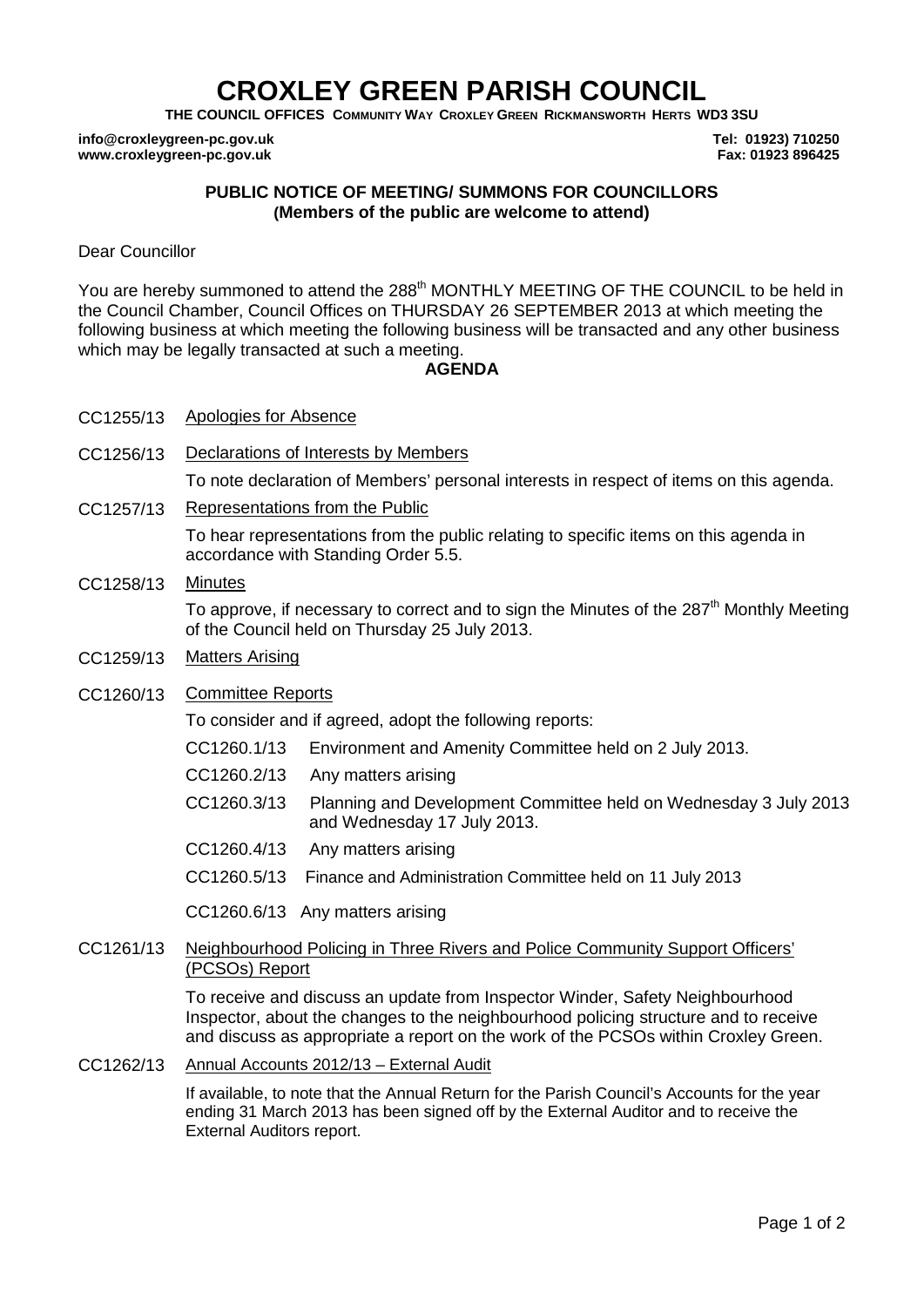# **CROXLEY GREEN PARISH COUNCIL**

**THE COUNCIL OFFICES COMMUNITY WAY CROXLEY GREEN RICKMANSWORTH HERTS WD3 3SU**

**info@croxleygreen-pc.gov.uk www.croxleygreen-pc.gov.uk**

**Tel: 01923) 710250 Fax: 01923 896425**

## **PUBLIC NOTICE OF MEETING/ SUMMONS FOR COUNCILLORS (Members of the public are welcome to attend)**

Dear Councillor

You are hereby summoned to attend the 288<sup>th</sup> MONTHLY MEETING OF THE COUNCIL to be held in the Council Chamber, Council Offices on THURSDAY 26 SEPTEMBER 2013 at which meeting the following business at which meeting the following business will be transacted and any other business which may be legally transacted at such a meeting.

# **AGENDA**

- CC1255/13 Apologies for Absence
- CC1256/13 Declarations of Interests by Members To note declaration of Members' personal interests in respect of items on this agenda.
- CC1257/13 Representations from the Public

To hear representations from the public relating to specific items on this agenda in accordance with Standing Order 5.5.

CC1258/13 Minutes

To approve, if necessary to correct and to sign the Minutes of the 287<sup>th</sup> Monthly Meeting of the Council held on Thursday 25 July 2013.

CC1259/13 Matters Arising

# CC1260/13 Committee Reports

To consider and if agreed, adopt the following reports:

- CC1260.1/13 Environment and Amenity Committee held on 2 July 2013.
- CC1260.2/13 Any matters arising
- C CC1260.3/13 Planning and Development Committee held on Wednesday 3 July 2013 and Wednesday 17 July 2013.
- CC1260.4/13 Any matters arising
- CC1260.5/13 Finance and Administration Committee held on 11 July 2013

CC1260.6/13 Any matters arising

## CC1261/13 Neighbourhood Policing in Three Rivers and Police Community Support Officers' (PCSOs) Report

To receive and discuss an update from Inspector Winder, Safety Neighbourhood Inspector, about the changes to the neighbourhood policing structure and to receive and discuss as appropriate a report on the work of the PCSOs within Croxley Green.

CC1262/13 Annual Accounts 2012/13 – External Audit

If available, to note that the Annual Return for the Parish Council's Accounts for the year ending 31 March 2013 has been signed off by the External Auditor and to receive the External Auditors report.